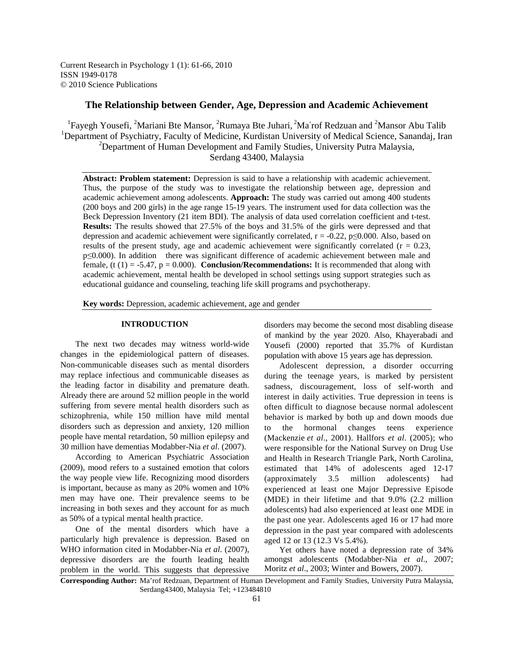Current Research in Psychology 1 (1): 61-66, 2010 ISSN 1949-0178 © 2010 Science Publications

# **The Relationship between Gender, Age, Depression and Academic Achievement**

<sup>1</sup>Fayegh Yousefi, <sup>2</sup>Mariani Bte Mansor, <sup>2</sup>Rumaya Bte Juhari, <sup>2</sup>Ma'rof Redzuan and <sup>2</sup>Mansor Abu Talib <sup>1</sup>Department of Psychiatry, Faculty of Medicine, Kurdistan University of Medical Science, Sanandaj, Iran <sup>2</sup>Department of Human Development and Family Studies, University Putra Malaysia, Serdang 43400, Malaysia

**Abstract: Problem statement:** Depression is said to have a relationship with academic achievement. Thus, the purpose of the study was to investigate the relationship between age, depression and academic achievement among adolescents. **Approach:** The study was carried out among 400 students (200 boys and 200 girls) in the age range 15-19 years. The instrument used for data collection was the Beck Depression Inventory (21 item BDI). The analysis of data used correlation coefficient and t-test. **Results:** The results showed that 27.5% of the boys and 31.5% of the girls were depressed and that depression and academic achievement were significantly correlated,  $r = -0.22$ ,  $p \le 0.000$ . Also, based on results of the present study, age and academic achievement were significantly correlated ( $r = 0.23$ , p≤0.000). In addition there was significant difference of academic achievement between male and female,  $(t (1) = -5.47, p = 0.000)$ . **Conclusion/Recommendations:** It is recommended that along with academic achievement, mental health be developed in school settings using support strategies such as educational guidance and counseling, teaching life skill programs and psychotherapy.

**Key words:** Depression, academic achievement, age and gender

### **INTRODUCTION**

 The next two decades may witness world-wide changes in the epidemiological pattern of diseases. Non-communicable diseases such as mental disorders may replace infectious and communicable diseases as the leading factor in disability and premature death. Already there are around 52 million people in the world suffering from severe mental health disorders such as schizophrenia, while 150 million have mild mental disorders such as depression and anxiety, 120 million people have mental retardation, 50 million epilepsy and 30 million have dementias Modabber-Nia *et al*. (2007).

 According to American Psychiatric Association (2009), mood refers to a sustained emotion that colors the way people view life. Recognizing mood disorders is important, because as many as 20% women and 10% men may have one. Their prevalence seems to be increasing in both sexes and they account for as much as 50% of a typical mental health practice.

 One of the mental disorders which have a particularly high prevalence is depression. Based on WHO information cited in Modabber-Nia *et al*. (2007), depressive disorders are the fourth leading health problem in the world. This suggests that depressive

disorders may become the second most disabling disease of mankind by the year 2020. Also, Khayerabadi and Yousefi (2000) reported that 35.7% of Kurdistan population with above 15 years age has depression.

 Adolescent depression, a disorder occurring during the teenage years, is marked by persistent sadness, discouragement, loss of self-worth and interest in daily activities. True depression in teens is often difficult to diagnose because normal adolescent behavior is marked by both up and down moods due to the hormonal changes teens experience (Mackenzie *et al*., 2001). Hallfors *et al*. (2005); who were responsible for the National Survey on Drug Use and Health in Research Triangle Park, North Carolina, estimated that 14% of adolescents aged 12-17 (approximately 3.5 million adolescents) had experienced at least one Major Depressive Episode (MDE) in their lifetime and that 9.0% (2.2 million adolescents) had also experienced at least one MDE in the past one year. Adolescents aged 16 or 17 had more depression in the past year compared with adolescents aged 12 or 13 (12.3 Vs 5.4%).

 Yet others have noted a depression rate of 34% amongst adolescents (Modabber-Nia *et al*., 2007; Moritz *et al*., 2003; Winter and Bowers, 2007).

**Corresponding Author:** Ma'rof Redzuan, Department of Human Development and Family Studies, University Putra Malaysia, Serdang43400, Malaysia Tel; +123484810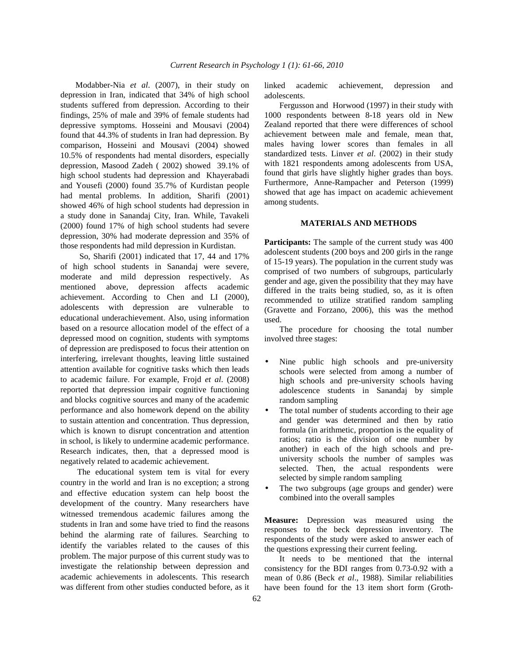Modabber-Nia *et al*. (2007), in their study on depression in Iran, indicated that 34% of high school students suffered from depression. According to their findings, 25% of male and 39% of female students had depressive symptoms. Hosseini and Mousavi (2004) found that 44.3% of students in Iran had depression. By comparison, Hosseini and Mousavi (2004) showed 10.5% of respondents had mental disorders, especially depression, Masood Zadeh ( 2002) showed 39.1% of high school students had depression and Khayerabadi and Yousefi (2000) found 35.7% of Kurdistan people had mental problems. In addition, Sharifi (2001) showed 46% of high school students had depression in a study done in Sanandaj City, Iran. While, Tavakeli (2000) found 17% of high school students had severe depression, 30% had moderate depression and 35% of those respondents had mild depression in Kurdistan.

 So, Sharifi (2001) indicated that 17, 44 and 17% of high school students in Sanandaj were severe, moderate and mild depression respectively. As mentioned above, depression affects academic achievement. According to Chen and LI (2000), adolescents with depression are vulnerable to educational underachievement. Also, using information based on a resource allocation model of the effect of a depressed mood on cognition, students with symptoms of depression are predisposed to focus their attention on interfering, irrelevant thoughts, leaving little sustained attention available for cognitive tasks which then leads to academic failure. For example, Frojd *et al*. (2008) reported that depression impair cognitive functioning and blocks cognitive sources and many of the academic performance and also homework depend on the ability to sustain attention and concentration. Thus depression, which is known to disrupt concentration and attention in school, is likely to undermine academic performance. Research indicates, then, that a depressed mood is negatively related to academic achievement.

 The educational system tem is vital for every country in the world and Iran is no exception; a strong and effective education system can help boost the development of the country. Many researchers have witnessed tremendous academic failures among the students in Iran and some have tried to find the reasons behind the alarming rate of failures. Searching to identify the variables related to the causes of this problem. The major purpose of this current study was to investigate the relationship between depression and academic achievements in adolescents. This research was different from other studies conducted before, as it

linked academic achievement, depression and adolescents.

 Fergusson and Horwood (1997) in their study with 1000 respondents between 8-18 years old in New Zealand reported that there were differences of school achievement between male and female, mean that, males having lower scores than females in all standardized tests. Linver *et al*. (2002) in their study with 1821 respondents among adolescents from USA, found that girls have slightly higher grades than boys. Furthermore, Anne-Rampacher and Peterson (1999) showed that age has impact on academic achievement among students.

## **MATERIALS AND METHODS**

**Participants:** The sample of the current study was 400 adolescent students (200 boys and 200 girls in the range of 15-19 years). The population in the current study was comprised of two numbers of subgroups, particularly gender and age, given the possibility that they may have differed in the traits being studied, so, as it is often recommended to utilize stratified random sampling (Gravette and Forzano, 2006), this was the method used.

 The procedure for choosing the total number involved three stages:

- Nine public high schools and pre-university schools were selected from among a number of high schools and pre-university schools having adolescence students in Sanandaj by simple random sampling
- The total number of students according to their age and gender was determined and then by ratio formula (in arithmetic, proportion is the equality of ratios; ratio is the division of one number by another) in each of the high schools and preuniversity schools the number of samples was selected. Then, the actual respondents were selected by simple random sampling
- The two subgroups (age groups and gender) were combined into the overall samples

**Measure:** Depression was measured using the responses to the beck depression inventory. The respondents of the study were asked to answer each of the questions expressing their current feeling.

 It needs to be mentioned that the internal consistency for the BDI ranges from 0.73-0.92 with a mean of 0.86 (Beck *et al*., 1988). Similar reliabilities have been found for the 13 item short form (Groth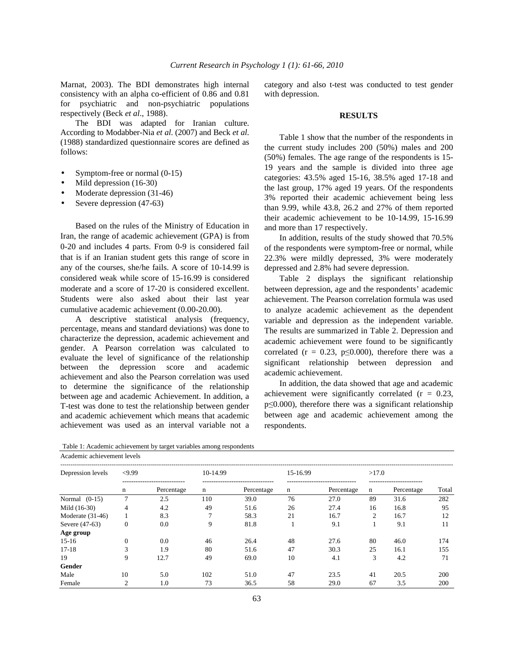Marnat, 2003). The BDI demonstrates high internal consistency with an alpha co-efficient of 0.86 and 0.81 for psychiatric and non-psychiatric populations respectively (Beck *et al*., 1988).

 The BDI was adapted for Iranian culture. According to Modabber-Nia *et al*. (2007) and Beck *et al*. (1988) standardized questionnaire scores are defined as follows:

- Symptom-free or normal  $(0-15)$
- Mild depression (16-30)
- Moderate depression (31-46)
- Severe depression (47-63)

 Based on the rules of the Ministry of Education in Iran, the range of academic achievement (GPA) is from 0-20 and includes 4 parts. From 0-9 is considered fail that is if an Iranian student gets this range of score in any of the courses, she/he fails. A score of 10-14.99 is considered weak while score of 15-16.99 is considered moderate and a score of 17-20 is considered excellent. Students were also asked about their last year cumulative academic achievement (0.00-20.00).

 A descriptive statistical analysis (frequency, percentage, means and standard deviations) was done to characterize the depression, academic achievement and gender. A Pearson correlation was calculated to evaluate the level of significance of the relationship between the depression score and academic achievement and also the Pearson correlation was used to determine the significance of the relationship between age and academic Achievement. In addition, a T-test was done to test the relationship between gender and academic achievement which means that academic achievement was used as an interval variable not a

Table 1: Academic achievement by target variables among respondents Academic achievement levels

category and also t-test was conducted to test gender with depression.

#### **RESULTS**

 Table 1 show that the number of the respondents in the current study includes 200 (50%) males and 200 (50%) females. The age range of the respondents is 15- 19 years and the sample is divided into three age categories: 43.5% aged 15-16, 38.5% aged 17-18 and the last group, 17% aged 19 years. Of the respondents 3% reported their academic achievement being less than 9.99, while 43.8, 26.2 and 27% of them reported their academic achievement to be 10-14.99, 15-16.99 and more than 17 respectively.

 In addition, results of the study showed that 70.5% of the respondents were symptom-free or normal, while 22.3% were mildly depressed, 3% were moderately depressed and 2.8% had severe depression.

 Table 2 displays the significant relationship between depression, age and the respondents' academic achievement. The Pearson correlation formula was used to analyze academic achievement as the dependent variable and depression as the independent variable. The results are summarized in Table 2. Depression and academic achievement were found to be significantly correlated ( $r = 0.23$ ,  $p \le 0.000$ ), therefore there was a significant relationship between depression and academic achievement.

 In addition, the data showed that age and academic achievement were significantly correlated  $(r = 0.23,$ p≤0.000), therefore there was a significant relationship between age and academic achievement among the respondents.

| Academic achievement levels |                |                                             |          |                                                |          |                                               |       |                                        |       |  |  |
|-----------------------------|----------------|---------------------------------------------|----------|------------------------------------------------|----------|-----------------------------------------------|-------|----------------------------------------|-------|--|--|
| Depression levels           | <9.99          |                                             | 10-14.99 |                                                | 15-16.99 |                                               | >17.0 |                                        |       |  |  |
|                             | n              | -----------------------------<br>Percentage | n        | --------------------------------<br>Percentage | n        | -------------------------------<br>Percentage | n     | ------------------------<br>Percentage | Total |  |  |
| Normal $(0-15)$             | $\overline{7}$ | 2.5                                         | 110      | 39.0                                           | 76       | 27.0                                          | 89    | 31.6                                   | 282   |  |  |
| Mild (16-30)                | 4              | 4.2                                         | 49       | 51.6                                           | 26       | 27.4                                          | 16    | 16.8                                   | 95    |  |  |
| Moderate $(31-46)$          |                | 8.3                                         | 7        | 58.3                                           | 21       | 16.7                                          | 2     | 16.7                                   | 12    |  |  |
| Severe (47-63)              | $\mathbf{0}$   | 0.0                                         | 9        | 81.8                                           |          | 9.1                                           |       | 9.1                                    | 11    |  |  |
| Age group                   |                |                                             |          |                                                |          |                                               |       |                                        |       |  |  |
| $15-16$                     | $\mathbf{0}$   | 0.0                                         | 46       | 26.4                                           | 48       | 27.6                                          | 80    | 46.0                                   | 174   |  |  |
| $17 - 18$                   | 3              | 1.9                                         | 80       | 51.6                                           | 47       | 30.3                                          | 25    | 16.1                                   | 155   |  |  |
| 19                          | 9              | 12.7                                        | 49       | 69.0                                           | 10       | 4.1                                           | 3     | 4.2                                    | 71    |  |  |
| Gender                      |                |                                             |          |                                                |          |                                               |       |                                        |       |  |  |
| Male                        | 10             | 5.0                                         | 102      | 51.0                                           | 47       | 23.5                                          | 41    | 20.5                                   | 200   |  |  |
| Female                      | $\overline{2}$ | 1.0                                         | 73       | 36.5                                           | 58       | 29.0                                          | 67    | 3.5                                    | 200   |  |  |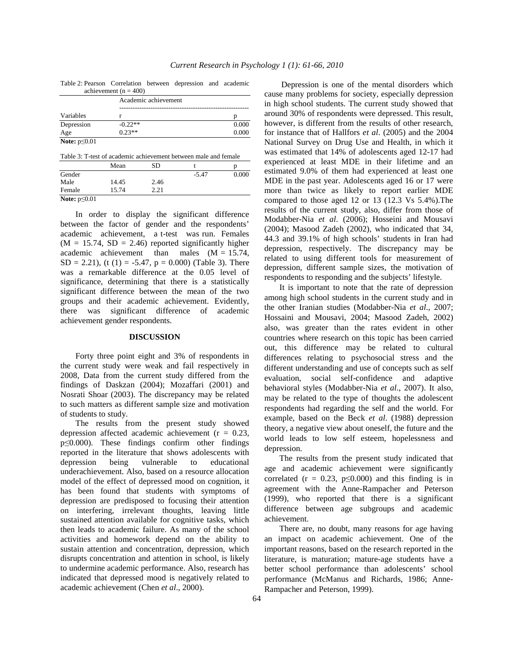|                     | achievement ( $n = 400$ ) |       |  |  |  |
|---------------------|---------------------------|-------|--|--|--|
|                     | Academic achievement      |       |  |  |  |
|                     |                           |       |  |  |  |
| Variables           |                           |       |  |  |  |
| Depression          | $-0.22**$                 | 0.000 |  |  |  |
| Age                 | $0.23**$                  | 0.000 |  |  |  |
| Note: $p \leq 0.01$ |                           |       |  |  |  |

Table 2: Pearson Correlation between depression and academic achievement ( $n = 400$ )

|                    | Mean  | SD   |         |       |
|--------------------|-------|------|---------|-------|
| Gender             |       |      | $-5.47$ | 0.000 |
| Male               | 14.45 | 2.46 |         |       |
| Female             | 15.74 | 2.21 |         |       |
| Note: $p \le 0.01$ |       |      |         |       |

 In order to display the significant difference between the factor of gender and the respondents' academic achievement, a t-test was run. Females  $(M = 15.74, SD = 2.46)$  reported significantly higher academic achievement than males  $(M = 15.74,$ SD = 2.21), (t (1) = -5.47,  $p = 0.000$ ) (Table 3). There was a remarkable difference at the 0.05 level of significance, determining that there is a statistically significant difference between the mean of the two groups and their academic achievement. Evidently, there was significant difference of academic achievement gender respondents.

# **DISCUSSION**

 Forty three point eight and 3% of respondents in the current study were weak and fail respectively in 2008, Data from the current study differed from the findings of Daskzan (2004); Mozaffari (2001) and Nosrati Shoar (2003). The discrepancy may be related to such matters as different sample size and motivation of students to study.

 The results from the present study showed depression affected academic achievement ( $r = 0.23$ , p≤0.000). These findings confirm other findings reported in the literature that shows adolescents with depression being vulnerable to educational underachievement. Also, based on a resource allocation model of the effect of depressed mood on cognition, it has been found that students with symptoms of depression are predisposed to focusing their attention on interfering, irrelevant thoughts, leaving little sustained attention available for cognitive tasks, which then leads to academic failure. As many of the school activities and homework depend on the ability to sustain attention and concentration, depression, which disrupts concentration and attention in school, is likely to undermine academic performance. Also, research has indicated that depressed mood is negatively related to academic achievement (Chen *et al*., 2000).

 Depression is one of the mental disorders which cause many problems for society, especially depression in high school students. The current study showed that around 30% of respondents were depressed. This result, however, is different from the results of other research, for instance that of Hallfors *et al*. (2005) and the 2004 National Survey on Drug Use and Health, in which it was estimated that 14% of adolescents aged 12-17 had experienced at least MDE in their lifetime and an estimated 9.0% of them had experienced at least one MDE in the past year. Adolescents aged 16 or 17 were more than twice as likely to report earlier MDE compared to those aged 12 or 13 (12.3 Vs 5.4%).The results of the current study, also, differ from those of Modabber-Nia *et al*. (2006); Hosseini and Mousavi (2004); Masood Zadeh (2002), who indicated that 34, 44.3 and 39.1% of high schools' students in Iran had depression, respectively. The discrepancy may be related to using different tools for measurement of depression, different sample sizes, the motivation of respondents to responding and the subjects' lifestyle.

 It is important to note that the rate of depression among high school students in the current study and in the other Iranian studies (Modabber-Nia *et al*., 2007; Hossaini and Mousavi, 2004; Masood Zadeh, 2002) also, was greater than the rates evident in other countries where research on this topic has been carried out, this difference may be related to cultural differences relating to psychosocial stress and the different understanding and use of concepts such as self evaluation, social self-confidence and adaptive behavioral styles (Modabber-Nia *et al*., 2007). It also, may be related to the type of thoughts the adolescent respondents had regarding the self and the world. For example, based on the Beck *et al*. (1988) depression theory, a negative view about oneself, the future and the world leads to low self esteem, hopelessness and depression.

 The results from the present study indicated that age and academic achievement were significantly correlated ( $r = 0.23$ ,  $p \le 0.000$ ) and this finding is in agreement with the Anne-Rampacher and Peterson (1999), who reported that there is a significant difference between age subgroups and academic achievement.

 There are, no doubt, many reasons for age having an impact on academic achievement. One of the important reasons, based on the research reported in the literature, is maturation; mature-age students have a better school performance than adolescents' school performance (McManus and Richards, 1986; Anne-Rampacher and Peterson, 1999).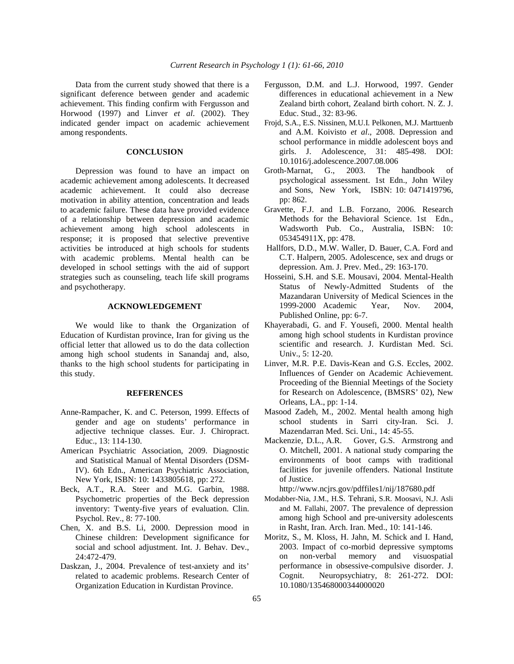Data from the current study showed that there is a significant deference between gender and academic achievement. This finding confirm with Fergusson and Horwood (1997) and Linver *et al*. (2002). They indicated gender impact on academic achievement among respondents.

# **CONCLUSION**

 Depression was found to have an impact on academic achievement among adolescents. It decreased academic achievement. It could also decrease motivation in ability attention, concentration and leads to academic failure. These data have provided evidence of a relationship between depression and academic achievement among high school adolescents in response; it is proposed that selective preventive activities be introduced at high schools for students with academic problems. Mental health can be developed in school settings with the aid of support strategies such as counseling, teach life skill programs and psychotherapy.

## **ACKNOWLEDGEMENT**

 We would like to thank the Organization of Education of Kurdistan province, Iran for giving us the official letter that allowed us to do the data collection among high school students in Sanandaj and, also, thanks to the high school students for participating in this study.

#### **REFERENCES**

- Anne-Rampacher, K. and C. Peterson, 1999. Effects of gender and age on students' performance in adjective technique classes. Eur. J. Chiropract. Educ., 13: 114-130.
- American Psychiatric Association, 2009. Diagnostic and Statistical Manual of Mental Disorders (DSM-IV). 6th Edn., American Psychiatric Association, New York, ISBN: 10: 1433805618, pp: 272.
- Beck, A.T., R.A. Steer and M.G. Garbin, 1988. Psychometric properties of the Beck depression inventory: Twenty-five years of evaluation. Clin. Psychol. Rev., 8: 77-100.
- Chen, X. and B.S. Li, 2000. Depression mood in Chinese children: Development significance for social and school adjustment. Int. J. Behav. Dev., 24:472-479.
- Daskzan, J., 2004. Prevalence of test-anxiety and its' related to academic problems. Research Center of Organization Education in Kurdistan Province.
- Fergusson, D.M. and L.J. Horwood, 1997. Gender differences in educational achievement in a New Zealand birth cohort, Zealand birth cohort. N. Z. J. Educ. Stud., 32: 83-96.
- Frojd, S.A., E.S. Nissinen, M.U.I. Pelkonen, M.J. Marttuenb and A.M. Koivisto *et al*., 2008. Depression and school performance in middle adolescent boys and girls. J. Adolescence, 31: 485-498. DOI: 10.1016/j.adolescence.2007.08.006
- Groth-Marnat, G., 2003. The handbook of psychological assessment. 1st Edn., John Wiley and Sons, New York, ISBN: 10: 0471419796, pp: 862.
- Gravette, F.J. and L.B. Forzano, 2006. Research Methods for the Behavioral Science. 1st Edn., Wadsworth Pub. Co., Australia, ISBN: 10: 053454911X, pp: 478.
- Hallfors, D.D., M.W. Waller, D. Bauer, C.A. Ford and C.T. Halpern, 2005. Adolescence, sex and drugs or depression. Am. J. Prev. Med., 29: 163-170.
- Hosseini, S.H. and S.E. Mousavi, 2004. Mental-Health Status of Newly-Admitted Students of the Mazandaran University of Medical Sciences in the 1999-2000 Academic Year, Nov. 2004, Published Online, pp: 6-7.
- Khayerabadi, G. and F. Yousefi, 2000. Mental health among high school students in Kurdistan province scientific and research. J. Kurdistan Med. Sci. Univ., 5: 12-20.
- Linver, M.R. P.E. Davis-Kean and G.S. Eccles, 2002. Influences of Gender on Academic Achievement. Proceeding of the Biennial Meetings of the Society for Research on Adolescence, (BMSRS' 02), New Orleans, LA., pp: 1-14.
- Masood Zadeh, M., 2002. Mental health among high school students in Sarri city-Iran. Sci. J. Mazendarran Med. Sci. Uni., 14: 45-55.
- Mackenzie, D.L., A.R. Gover, G.S. Armstrong and O. Mitchell, 2001. A national study comparing the environments of boot camps with traditional facilities for juvenile offenders. National Institute of Justice.

http://www.ncjrs.gov/pdffiles1/nij/187680.pdf

- Modabber-Nia, J.M., H.S. Tehrani, S.R. Moosavi, N.J. Asli and M. Fallahi, 2007. The prevalence of depression among high School and pre-university adolescents in Rasht, Iran. Arch. Iran. Med., 10: 141-146.
- Moritz, S., M. Kloss, H. Jahn, M. Schick and I. Hand, 2003. Impact of co-morbid depressive symptoms on non-verbal memory and visuospatial performance in obsessive-compulsive disorder. J. Cognit. Neuropsychiatry, 8: 261-272. DOI: 10.1080/135468000344000020